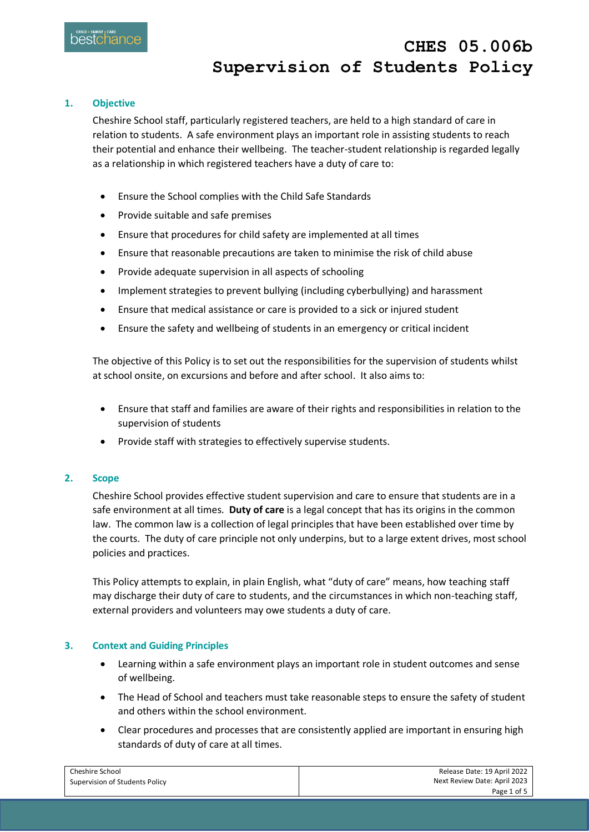### **1. Objective**

Cheshire School staff, particularly registered teachers, are held to a high standard of care in relation to students. A safe environment plays an important role in assisting students to reach their potential and enhance their wellbeing. The teacher-student relationship is regarded legally as a relationship in which registered teachers have a duty of care to:

- Ensure the School complies with the Child Safe Standards
- Provide suitable and safe premises
- Ensure that procedures for child safety are implemented at all times
- Ensure that reasonable precautions are taken to minimise the risk of child abuse
- Provide adequate supervision in all aspects of schooling
- Implement strategies to prevent bullying (including cyberbullying) and harassment
- Ensure that medical assistance or care is provided to a sick or injured student
- Ensure the safety and wellbeing of students in an emergency or critical incident

The objective of this Policy is to set out the responsibilities for the supervision of students whilst at school onsite, on excursions and before and after school. It also aims to:

- Ensure that staff and families are aware of their rights and responsibilities in relation to the supervision of students
- Provide staff with strategies to effectively supervise students.

#### **2. Scope**

Cheshire School provides effective student supervision and care to ensure that students are in a safe environment at all times. **Duty of care** is a legal concept that has its origins in the common law. The common law is a collection of legal principles that have been established over time by the courts. The duty of care principle not only underpins, but to a large extent drives, most school policies and practices.

This Policy attempts to explain, in plain English, what "duty of care" means, how teaching staff may discharge their duty of care to students, and the circumstances in which non-teaching staff, external providers and volunteers may owe students a duty of care.

#### **3. Context and Guiding Principles**

- Learning within a safe environment plays an important role in student outcomes and sense of wellbeing.
- The Head of School and teachers must take reasonable steps to ensure the safety of student and others within the school environment.
- Clear procedures and processes that are consistently applied are important in ensuring high standards of duty of care at all times.

| Cheshire School                | Release Date: 19 April 2022  |
|--------------------------------|------------------------------|
| Supervision of Students Policy | Next Review Date: April 2023 |
|                                | Page 1 of 5                  |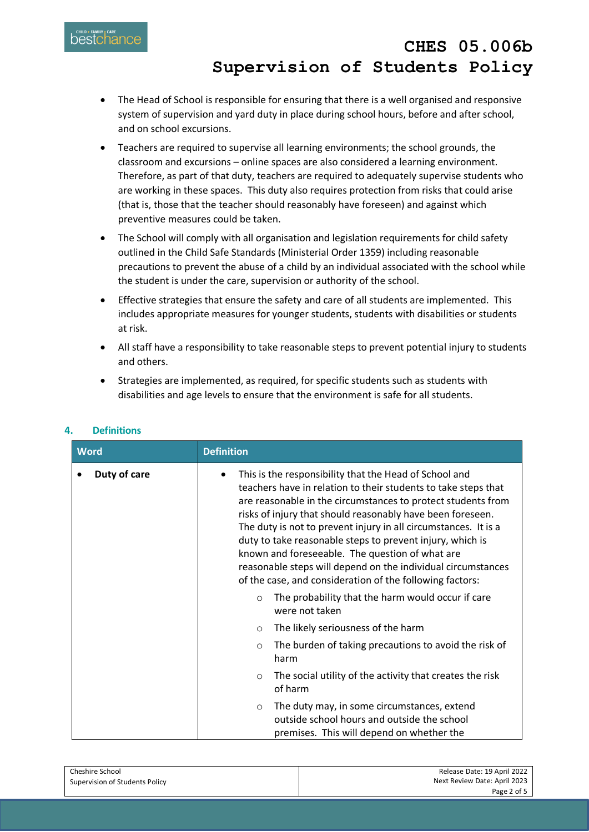

- The Head of School is responsible for ensuring that there is a well organised and responsive system of supervision and yard duty in place during school hours, before and after school, and on school excursions.
- Teachers are required to supervise all learning environments; the school grounds, the classroom and excursions – online spaces are also considered a learning environment. Therefore, as part of that duty, teachers are required to adequately supervise students who are working in these spaces. This duty also requires protection from risks that could arise (that is, those that the teacher should reasonably have foreseen) and against which preventive measures could be taken.
- The School will comply with all organisation and legislation requirements for child safety outlined in the Child Safe Standards (Ministerial Order 1359) including reasonable precautions to prevent the abuse of a child by an individual associated with the school while the student is under the care, supervision or authority of the school.
- Effective strategies that ensure the safety and care of all students are implemented. This includes appropriate measures for younger students, students with disabilities or students at risk.
- All staff have a responsibility to take reasonable steps to prevent potential injury to students and others.
- Strategies are implemented, as required, for specific students such as students with disabilities and age levels to ensure that the environment is safe for all students.

| <b>Word</b>  | <b>Definition</b>                                                                                                                                                                                                                                                                                                                                                                                                                                                                                                                                                     |  |
|--------------|-----------------------------------------------------------------------------------------------------------------------------------------------------------------------------------------------------------------------------------------------------------------------------------------------------------------------------------------------------------------------------------------------------------------------------------------------------------------------------------------------------------------------------------------------------------------------|--|
| Duty of care | This is the responsibility that the Head of School and<br>teachers have in relation to their students to take steps that<br>are reasonable in the circumstances to protect students from<br>risks of injury that should reasonably have been foreseen.<br>The duty is not to prevent injury in all circumstances. It is a<br>duty to take reasonable steps to prevent injury, which is<br>known and foreseeable. The question of what are<br>reasonable steps will depend on the individual circumstances<br>of the case, and consideration of the following factors: |  |
|              | The probability that the harm would occur if care<br>$\circ$<br>were not taken                                                                                                                                                                                                                                                                                                                                                                                                                                                                                        |  |
|              | The likely seriousness of the harm<br>$\circ$                                                                                                                                                                                                                                                                                                                                                                                                                                                                                                                         |  |
|              | The burden of taking precautions to avoid the risk of<br>$\circ$<br>harm                                                                                                                                                                                                                                                                                                                                                                                                                                                                                              |  |
|              | The social utility of the activity that creates the risk<br>$\circ$<br>of harm                                                                                                                                                                                                                                                                                                                                                                                                                                                                                        |  |
|              | The duty may, in some circumstances, extend<br>$\circ$<br>outside school hours and outside the school<br>premises. This will depend on whether the                                                                                                                                                                                                                                                                                                                                                                                                                    |  |

## **4. Definitions**

| Cheshire School                | Release Date: 19 April 2022  |
|--------------------------------|------------------------------|
| Supervision of Students Policy | Next Review Date: April 2023 |
|                                | Page 2 of 5                  |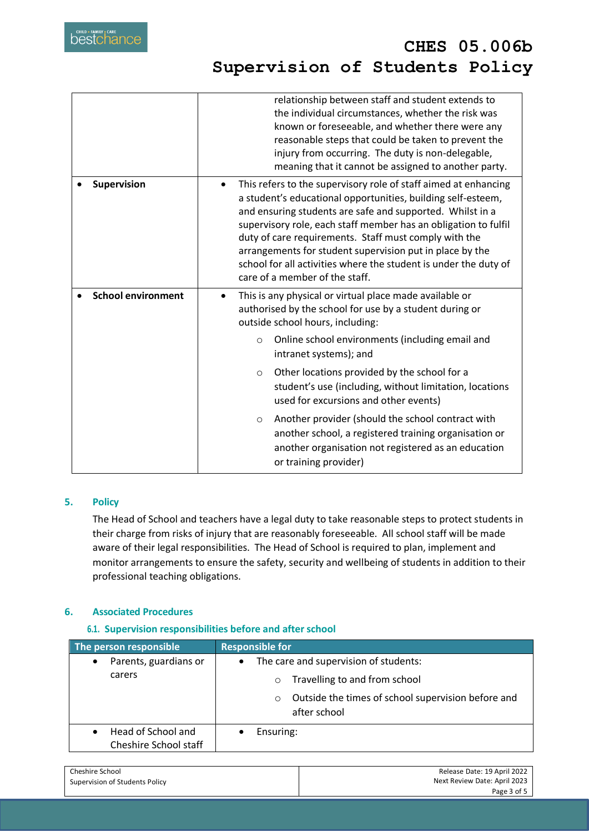|                           | relationship between staff and student extends to<br>the individual circumstances, whether the risk was<br>known or foreseeable, and whether there were any<br>reasonable steps that could be taken to prevent the<br>injury from occurring. The duty is non-delegable,<br>meaning that it cannot be assigned to another party.                                                                                                                                                                         |  |
|---------------------------|---------------------------------------------------------------------------------------------------------------------------------------------------------------------------------------------------------------------------------------------------------------------------------------------------------------------------------------------------------------------------------------------------------------------------------------------------------------------------------------------------------|--|
| Supervision               | This refers to the supervisory role of staff aimed at enhancing<br>$\bullet$<br>a student's educational opportunities, building self-esteem,<br>and ensuring students are safe and supported. Whilst in a<br>supervisory role, each staff member has an obligation to fulfil<br>duty of care requirements. Staff must comply with the<br>arrangements for student supervision put in place by the<br>school for all activities where the student is under the duty of<br>care of a member of the staff. |  |
| <b>School environment</b> | This is any physical or virtual place made available or<br>$\bullet$<br>authorised by the school for use by a student during or<br>outside school hours, including:                                                                                                                                                                                                                                                                                                                                     |  |
|                           | Online school environments (including email and<br>$\circ$<br>intranet systems); and                                                                                                                                                                                                                                                                                                                                                                                                                    |  |
|                           | Other locations provided by the school for a<br>$\circ$<br>student's use (including, without limitation, locations<br>used for excursions and other events)                                                                                                                                                                                                                                                                                                                                             |  |
|                           | Another provider (should the school contract with<br>$\circ$<br>another school, a registered training organisation or<br>another organisation not registered as an education<br>or training provider)                                                                                                                                                                                                                                                                                                   |  |

## **5. Policy**

The Head of School and teachers have a legal duty to take reasonable steps to protect students in their charge from risks of injury that are reasonably foreseeable. All school staff will be made aware of their legal responsibilities. The Head of School is required to plan, implement and monitor arrangements to ensure the safety, security and wellbeing of students in addition to their professional teaching obligations.

## **6. Associated Procedures**

## **6.1. Supervision responsibilities before and after school**

| The person responsible                      | <b>Responsible for</b>                                                                                                                                          |  |
|---------------------------------------------|-----------------------------------------------------------------------------------------------------------------------------------------------------------------|--|
| Parents, guardians or<br>٠<br>carers        | The care and supervision of students:<br>$\bullet$<br>Travelling to and from school<br>$\circ$<br>Outside the times of school supervision before and<br>$\circ$ |  |
| Head of School and<br>Cheshire School staff | after school<br>Ensuring:<br>$\bullet$                                                                                                                          |  |

| Cheshire School                | Release Date: 19 April 2022  |
|--------------------------------|------------------------------|
| Supervision of Students Policy | Next Review Date: April 2023 |
|                                | Page 3 of 5                  |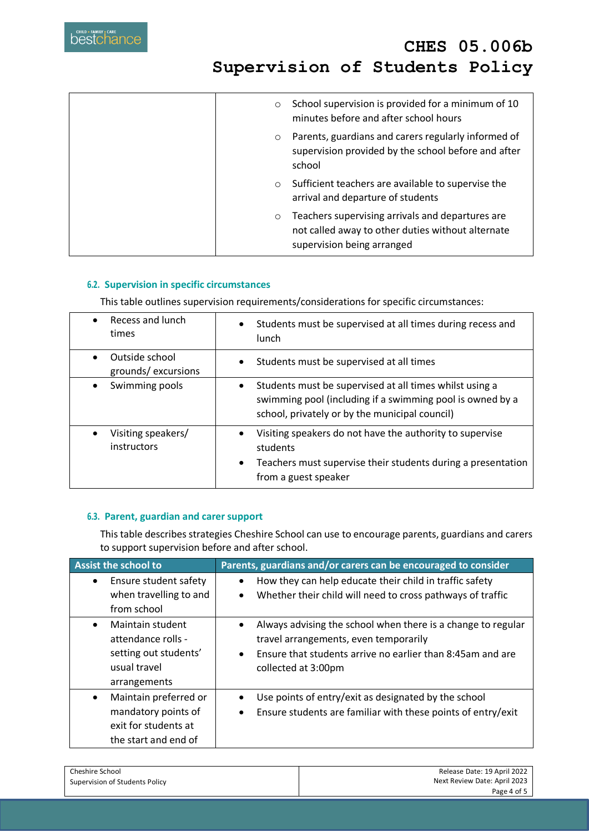| $\circ$ | School supervision is provided for a minimum of 10<br>minutes before and after school hours                                         |
|---------|-------------------------------------------------------------------------------------------------------------------------------------|
| $\circ$ | Parents, guardians and carers regularly informed of<br>supervision provided by the school before and after<br>school                |
| $\circ$ | Sufficient teachers are available to supervise the<br>arrival and departure of students                                             |
| $\circ$ | Teachers supervising arrivals and departures are<br>not called away to other duties without alternate<br>supervision being arranged |

### **6.2. Supervision in specific circumstances**

This table outlines supervision requirements/considerations for specific circumstances:

| Recess and lunch<br>times            | Students must be supervised at all times during recess and<br>$\bullet$<br><b>lunch</b>                                                                                                |
|--------------------------------------|----------------------------------------------------------------------------------------------------------------------------------------------------------------------------------------|
| Outside school<br>grounds/excursions | Students must be supervised at all times<br>$\bullet$                                                                                                                                  |
| Swimming pools                       | Students must be supervised at all times whilst using a<br>٠<br>swimming pool (including if a swimming pool is owned by a<br>school, privately or by the municipal council)            |
| Visiting speakers/<br>instructors    | Visiting speakers do not have the authority to supervise<br>$\bullet$<br>students<br>Teachers must supervise their students during a presentation<br>$\bullet$<br>from a guest speaker |

### **6.3. Parent, guardian and carer support**

This table describes strategies Cheshire School can use to encourage parents, guardians and carers to support supervision before and after school.

| <b>Assist the school to</b>                                                                                  | Parents, guardians and/or carers can be encouraged to consider                                                                                                                                          |
|--------------------------------------------------------------------------------------------------------------|---------------------------------------------------------------------------------------------------------------------------------------------------------------------------------------------------------|
| Ensure student safety                                                                                        | How they can help educate their child in traffic safety                                                                                                                                                 |
| when travelling to and                                                                                       | Whether their child will need to cross pathways of traffic<br>$\bullet$                                                                                                                                 |
| from school                                                                                                  |                                                                                                                                                                                                         |
| Maintain student<br>$\bullet$<br>attendance rolls -<br>setting out students'<br>usual travel<br>arrangements | Always advising the school when there is a change to regular<br>travel arrangements, even temporarily<br>Ensure that students arrive no earlier than 8:45am and are<br>$\bullet$<br>collected at 3:00pm |
| Maintain preferred or<br>٠<br>mandatory points of<br>exit for students at<br>the start and end of            | Use points of entry/exit as designated by the school<br>Ensure students are familiar with these points of entry/exit<br>$\bullet$                                                                       |

| Cheshire School                | Release Date: 19 April 2022  |
|--------------------------------|------------------------------|
| Supervision of Students Policy | Next Review Date: April 2023 |
|                                | Page 4 of 5                  |